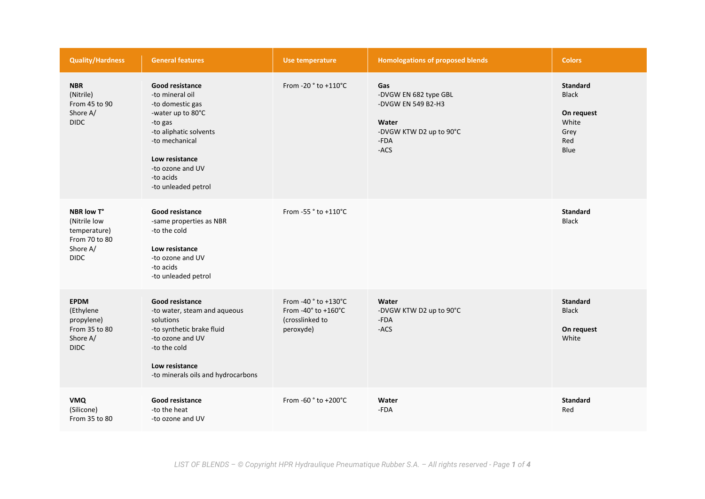| <b>Quality/Hardness</b>                                                                | <b>General features</b>                                                                                                                                                                                             | Use temperature                                                             | <b>Homologations of proposed blends</b>                                                                | <b>Colors</b>                                                                 |
|----------------------------------------------------------------------------------------|---------------------------------------------------------------------------------------------------------------------------------------------------------------------------------------------------------------------|-----------------------------------------------------------------------------|--------------------------------------------------------------------------------------------------------|-------------------------------------------------------------------------------|
| <b>NBR</b><br>(Nitrile)<br>From 45 to 90<br>Shore A/<br><b>DIDC</b>                    | <b>Good resistance</b><br>-to mineral oil<br>-to domestic gas<br>-water up to 80°C<br>-to gas<br>-to aliphatic solvents<br>-to mechanical<br>Low resistance<br>-to ozone and UV<br>-to acids<br>-to unleaded petrol | From -20 ° to +110°C                                                        | Gas<br>-DVGW EN 682 type GBL<br>-DVGW EN 549 B2-H3<br>Water<br>-DVGW KTW D2 up to 90°C<br>-FDA<br>-ACS | <b>Standard</b><br><b>Black</b><br>On request<br>White<br>Grey<br>Red<br>Blue |
| NBR low T°<br>(Nitrile low<br>temperature)<br>From 70 to 80<br>Shore A/<br><b>DIDC</b> | Good resistance<br>-same properties as NBR<br>-to the cold<br>Low resistance<br>-to ozone and UV<br>-to acids<br>-to unleaded petrol                                                                                | From -55 ° to +110°C                                                        |                                                                                                        | <b>Standard</b><br><b>Black</b>                                               |
| <b>EPDM</b><br>(Ethylene<br>propylene)<br>From 35 to 80<br>Shore A/<br><b>DIDC</b>     | Good resistance<br>-to water, steam and aqueous<br>solutions<br>-to synthetic brake fluid<br>-to ozone and UV<br>-to the cold<br>Low resistance<br>-to minerals oils and hydrocarbons                               | From -40 ° to +130°C<br>From -40° to +160°C<br>(crosslinked to<br>peroxyde) | Water<br>-DVGW KTW D2 up to 90°C<br>-FDA<br>-ACS                                                       | <b>Standard</b><br><b>Black</b><br>On request<br>White                        |
| <b>VMQ</b><br>(Silicone)<br>From 35 to 80                                              | <b>Good resistance</b><br>-to the heat<br>-to ozone and UV                                                                                                                                                          | From -60 ° to +200°C                                                        | Water<br>-FDA                                                                                          | <b>Standard</b><br>Red                                                        |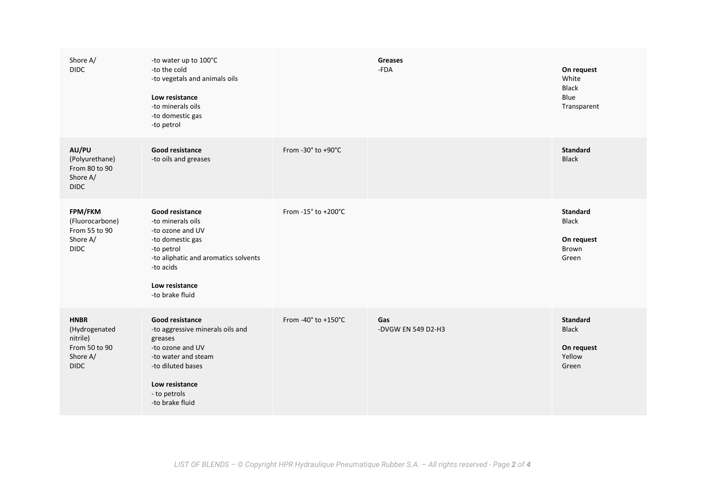| Shore A/<br><b>DIDC</b>                                                              | -to water up to 100°C<br>-to the cold<br>-to vegetals and animals oils<br>Low resistance<br>-to minerals oils<br>-to domestic gas<br>-to petrol                                            |                     | <b>Greases</b><br>$-FDA$  | On request<br>White<br><b>Black</b><br>Blue<br>Transparent       |
|--------------------------------------------------------------------------------------|--------------------------------------------------------------------------------------------------------------------------------------------------------------------------------------------|---------------------|---------------------------|------------------------------------------------------------------|
| AU/PU<br>(Polyurethane)<br>From 80 to 90<br>Shore A/<br><b>DIDC</b>                  | <b>Good resistance</b><br>-to oils and greases                                                                                                                                             | From -30° to +90°C  |                           | <b>Standard</b><br><b>Black</b>                                  |
| FPM/FKM<br>(Fluorocarbone)<br>From 55 to 90<br>Shore A/<br><b>DIDC</b>               | Good resistance<br>-to minerals oils<br>-to ozone and UV<br>-to domestic gas<br>-to petrol<br>-to aliphatic and aromatics solvents<br>-to acids<br>Low resistance<br>-to brake fluid       | From -15° to +200°C |                           | <b>Standard</b><br><b>Black</b><br>On request<br>Brown<br>Green  |
| <b>HNBR</b><br>(Hydrogenated<br>nitrile)<br>From 50 to 90<br>Shore A/<br><b>DIDC</b> | <b>Good resistance</b><br>-to aggressive minerals oils and<br>greases<br>-to ozone and UV<br>-to water and steam<br>-to diluted bases<br>Low resistance<br>- to petrols<br>-to brake fluid | From -40° to +150°C | Gas<br>-DVGW EN 549 D2-H3 | <b>Standard</b><br><b>Black</b><br>On request<br>Yellow<br>Green |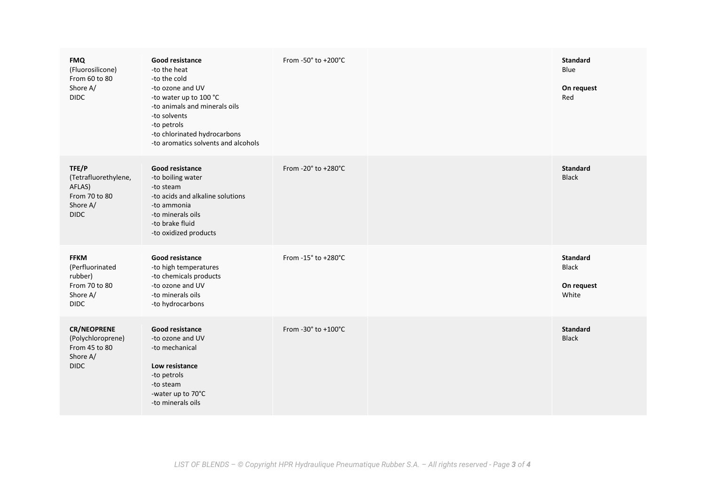| <b>FMQ</b><br>(Fluorosilicone)<br>From 60 to 80<br>Shore A/<br><b>DIDC</b>            | Good resistance<br>-to the heat<br>-to the cold<br>-to ozone and UV<br>-to water up to 100 °C<br>-to animals and minerals oils<br>-to solvents<br>-to petrols<br>-to chlorinated hydrocarbons<br>-to aromatics solvents and alcohols | From -50 $\degree$ to +200 $\degree$ C | <b>Standard</b><br>Blue<br>On request<br>Red           |
|---------------------------------------------------------------------------------------|--------------------------------------------------------------------------------------------------------------------------------------------------------------------------------------------------------------------------------------|----------------------------------------|--------------------------------------------------------|
| TFE/P<br>(Tetrafluorethylene,<br>AFLAS)<br>From 70 to 80<br>Shore A/<br><b>DIDC</b>   | Good resistance<br>-to boiling water<br>-to steam<br>-to acids and alkaline solutions<br>-to ammonia<br>-to minerals oils<br>-to brake fluid<br>-to oxidized products                                                                | From -20° to +280°C                    | <b>Standard</b><br><b>Black</b>                        |
| <b>FFKM</b><br>(Perfluorinated<br>rubber)<br>From 70 to 80<br>Shore A/<br><b>DIDC</b> | Good resistance<br>-to high temperatures<br>-to chemicals products<br>-to ozone and UV<br>-to minerals oils<br>-to hydrocarbons                                                                                                      | From -15° to +280°C                    | <b>Standard</b><br><b>Black</b><br>On request<br>White |
| <b>CR/NEOPRENE</b><br>(Polychloroprene)<br>From 45 to 80<br>Shore A/<br><b>DIDC</b>   | <b>Good resistance</b><br>-to ozone and UV<br>-to mechanical<br>Low resistance<br>-to petrols<br>-to steam<br>-water up to 70°C<br>-to minerals oils                                                                                 | From -30° to +100°C                    | <b>Standard</b><br><b>Black</b>                        |